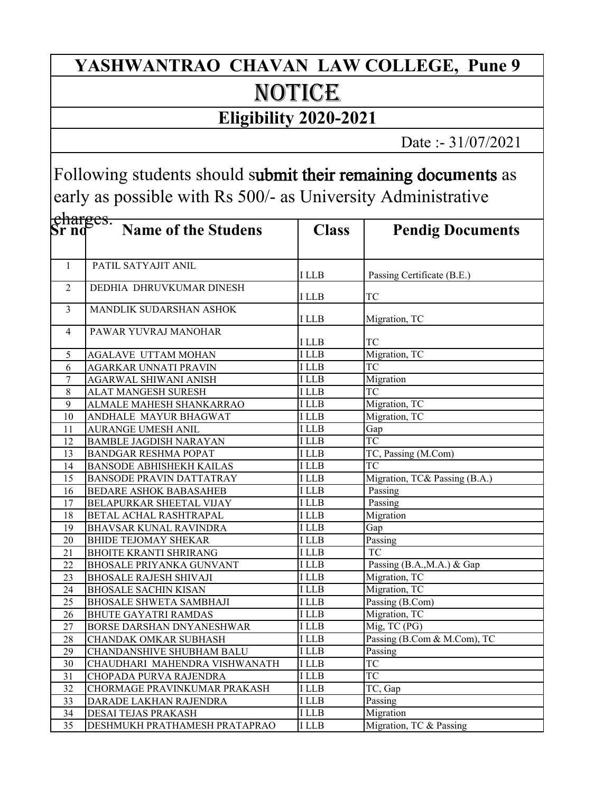## NOTICE **YASHWANTRAO CHAVAN LAW COLLEGE, Pune 9**

## **Eligibility 2020-2021**

Date :- 31/07/2021

Following students should submit their remaining docu**men**ts as early as possible with Rs 500/- as University Administrative

| <del>charges.</del><br>Sr nd |                                 |              |                               |
|------------------------------|---------------------------------|--------------|-------------------------------|
|                              | <b>Name of the Studens</b>      | <b>Class</b> | <b>Pendig Documents</b>       |
| $\mathbf{1}$                 | PATIL SATYAJIT ANIL             | I LLB        | Passing Certificate (B.E.)    |
| $\overline{2}$               | DEDHIA DHRUVKUMAR DINESH        | I LLB        | <b>TC</b>                     |
| 3                            | <b>MANDLIK SUDARSHAN ASHOK</b>  | I LLB        | Migration, TC                 |
| $\overline{4}$               | PAWAR YUVRAJ MANOHAR            | I LLB        | TC                            |
| 5                            | <b>AGALAVE UTTAM MOHAN</b>      | <b>ILLB</b>  | Migration, TC                 |
| 6                            | AGARKAR UNNATI PRAVIN           | I LLB        | <b>TC</b>                     |
| 7                            | AGARWAL SHIWANI ANISH           | <b>ILLB</b>  | Migration                     |
| 8                            | ALAT MANGESH SURESH             | <b>ILLB</b>  | $\overline{TC}$               |
| 9                            | ALMALE MAHESH SHANKARRAO        | <b>ILLB</b>  | Migration, TC                 |
| 10                           | ANDHALE MAYUR BHAGWAT           | <b>ILLB</b>  | Migration, TC                 |
| 11                           | AURANGE UMESH ANIL              | <b>ILLB</b>  | Gap                           |
| 12                           | <b>BAMBLE JAGDISH NARAYAN</b>   | <b>ILLB</b>  | <b>TC</b>                     |
| 13                           | <b>BANDGAR RESHMA POPAT</b>     | <b>ILLB</b>  | TC, Passing (M.Com)           |
| 14                           | <b>BANSODE ABHISHEKH KAILAS</b> | <b>ILLB</b>  | TC                            |
| 15                           | BANSODE PRAVIN DATTATRAY        | <b>ILLB</b>  | Migration, TC& Passing (B.A.) |
| 16                           | BEDARE ASHOK BABASAHEB          | <b>ILLB</b>  | Passing                       |
| 17                           | BELAPURKAR SHEETAL VIJAY        | <b>ILLB</b>  | Passing                       |
| 18                           | BETAL ACHAL RASHTRAPAL          | <b>ILLB</b>  | Migration                     |
| 19                           | BHAVSAR KUNAL RAVINDRA          | <b>ILLB</b>  | Gap                           |
| 20                           | <b>BHIDE TEJOMAY SHEKAR</b>     | I LLB        | Passing                       |
| 21                           | <b>BHOITE KRANTI SHRIRANG</b>   | I LLB        | $\overline{TC}$               |
| 22                           | <b>BHOSALE PRIYANKA GUNVANT</b> | I LLB        | Passing (B.A., M.A.) & Gap    |
| 23                           | <b>BHOSALE RAJESH SHIVAJI</b>   | <b>ILLB</b>  | Migration, TC                 |
| 24                           | <b>BHOSALE SACHIN KISAN</b>     | <b>ILLB</b>  | Migration, TC                 |
| 25                           | <b>BHOSALE SHWETA SAMBHAJI</b>  | <b>ILLB</b>  | Passing (B.Com)               |
| 26                           | <b>BHUTE GAYATRI RAMDAS</b>     | <b>ILLB</b>  | Migration, TC                 |
| 27                           | BORSE DARSHAN DNYANESHWAR       | <b>ILLB</b>  | Mig, TC (PG)                  |
| 28                           | CHANDAK OMKAR SUBHASH           | <b>I</b> LLB | Passing (B.Com & M.Com), TC   |
| 29                           | CHANDANSHIVE SHUBHAM BALU       | <b>ILLB</b>  | Passing                       |
| 30                           | CHAUDHARI MAHENDRA VISHWANATH   | <b>ILLB</b>  | <b>TC</b>                     |
| 31                           | CHOPADA PURVA RAJENDRA          | <b>ILLB</b>  | <b>TC</b>                     |
| 32                           | CHORMAGE PRAVINKUMAR PRAKASH    | I LLB        | TC, Gap                       |
| 33                           | DARADE LAKHAN RAJENDRA          | <b>ILLB</b>  | Passing                       |
| 34                           | DESAI TEJAS PRAKASH             | I LLB        | Migration                     |
| 35                           | DESHMUKH PRATHAMESH PRATAPRAO   | <b>ILLB</b>  | Migration, TC & Passing       |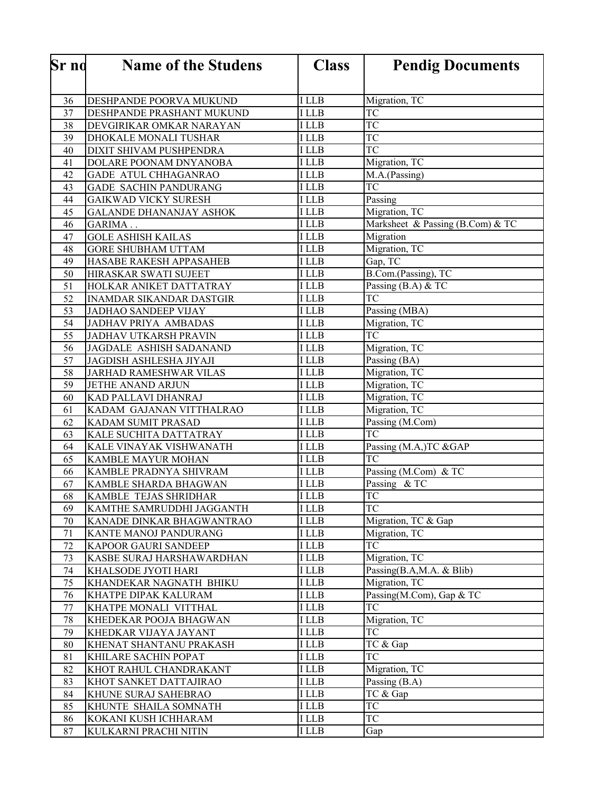| Sr no | <b>Name of the Studens</b>      | <b>Class</b> | <b>Pendig Documents</b>          |
|-------|---------------------------------|--------------|----------------------------------|
|       |                                 |              |                                  |
| 36    | DESHPANDE POORVA MUKUND         | <b>I</b> LLB | Migration, TC                    |
| 37    | DESHPANDE PRASHANT MUKUND       | I LLB        | <b>TC</b>                        |
| 38    | DEVGIRIKAR OMKAR NARAYAN        | <b>ILLB</b>  | <b>TC</b>                        |
| 39    | DHOKALE MONALI TUSHAR           | I LLB        | <b>TC</b>                        |
| 40    | DIXIT SHIVAM PUSHPENDRA         | I LLB        | <b>TC</b>                        |
| 41    | DOLARE POONAM DNYANOBA          | I LLB        | Migration, TC                    |
| 42    | GADE ATUL CHHAGANRAO            | I LLB        | M.A.(Passing)                    |
| 43    | GADE SACHIN PANDURANG           | I LLB        | TC                               |
| 44    | <b>GAIKWAD VICKY SURESH</b>     | <b>ILLB</b>  | Passing                          |
| 45    | <b>GALANDE DHANANJAY ASHOK</b>  | I LLB        | Migration, TC                    |
| 46    | GARIMA                          | <b>ILLB</b>  | Marksheet & Passing (B.Com) & TC |
| 47    | <b>GOLE ASHISH KAILAS</b>       | <b>ILLB</b>  | Migration                        |
| 48    | <b>GORE SHUBHAM UTTAM</b>       | <b>ILLB</b>  | Migration, TC                    |
| 49    | HASABE RAKESH APPASAHEB         | I LLB        | Gap, TC                          |
| 50    | HIRASKAR SWATI SUJEET           | <b>ILLB</b>  | B.Com.(Passing), TC              |
| 51    | HOLKAR ANIKET DATTATRAY         | <b>ILLB</b>  | Passing (B.A) & TC               |
| 52    | <b>INAMDAR SIKANDAR DASTGIR</b> | <b>ILLB</b>  | <b>TC</b>                        |
| 53    | <b>JADHAO SANDEEP VIJAY</b>     | <b>ILLB</b>  | Passing (MBA)                    |
| 54    | <b>JADHAV PRIYA AMBADAS</b>     | <b>ILLB</b>  | Migration, TC                    |
| 55    | <b>JADHAV UTKARSH PRAVIN</b>    | I LLB        | <b>TC</b>                        |
| 56    | JAGDALE ASHISH SADANAND         | I LLB        | Migration, TC                    |
| 57    | JAGDISH ASHLESHA JIYAJI         | I LLB        | Passing (BA)                     |
| 58    | JARHAD RAMESHWAR VILAS          | I LLB        | Migration, TC                    |
| 59    | JETHE ANAND ARJUN               | <b>ILLB</b>  | Migration, TC                    |
| 60    | KAD PALLAVI DHANRAJ             | I LLB        | Migration, TC                    |
| 61    | KADAM GAJANAN VITTHALRAO        | I LLB        | Migration, TC                    |
| 62    | KADAM SUMIT PRASAD              | I LLB        | Passing (M.Com)                  |
| 63    | KALE SUCHITA DATTATRAY          | <b>ILLB</b>  | <b>TC</b>                        |
| 64    | KALE VINAYAK VISHWANATH         | <b>ILLB</b>  | Passing (M.A,)TC &GAP            |
| 65    | KAMBLE MAYUR MOHAN              | I LLB        | <b>TC</b>                        |
| 66    | KAMBLE PRADNYA SHIVRAM          | <b>ILLB</b>  | Passing (M.Com) & TC             |
| 67    | KAMBLE SHARDA BHAGWAN           | I LLB        | Passing $& \overline{TC}$        |
| 68    | KAMBLE TEJAS SHRIDHAR           | I LLB        | <b>TC</b>                        |
| 69    | KAMTHE SAMRUDDHI JAGGANTH       | <b>ILLB</b>  | TC                               |
| 70    | KANADE DINKAR BHAGWANTRAO       | I LLB        | Migration, TC & Gap              |
| 71    | KANTE MANOJ PANDURANG           | I LLB        | Migration, TC                    |
| 72    | KAPOOR GAURI SANDEEP            | I LLB        | <b>TC</b>                        |
| 73    | KASBE SURAJ HARSHAWARDHAN       | I LLB        | Migration, TC                    |
| 74    | KHALSODE JYOTI HARI             | I LLB        | Passing(B.A,M.A. & Blib)         |
| 75    | KHANDEKAR NAGNATH BHIKU         | I LLB        | Migration, TC                    |
| 76    | KHATPE DIPAK KALURAM            | I LLB        | Passing(M.Com), Gap & TC         |
| 77    | KHATPE MONALI VITTHAL           | I LLB        | <b>TC</b>                        |
| 78    | KHEDEKAR POOJA BHAGWAN          | I LLB        | Migration, TC                    |
| 79    | KHEDKAR VIJAYA JAYANT           | I LLB        | <b>TC</b>                        |
| 80    | KHENAT SHANTANU PRAKASH         | I LLB        | TC & Gap                         |
| 81    | KHILARE SACHIN POPAT            | I LLB        | <b>TC</b>                        |
| 82    | KHOT RAHUL CHANDRAKANT          | I LLB        | Migration, TC                    |
| 83    | KHOT SANKET DATTAJIRAO          | I LLB        | Passing (B.A)                    |
| 84    | KHUNE SURAJ SAHEBRAO            | I LLB        | TC & Gap                         |
| 85    | KHUNTE SHAILA SOMNATH           | I LLB        | TC                               |
| 86    | KOKANI KUSH ICHHARAM            | I LLB        | <b>TC</b>                        |
| 87    | KULKARNI PRACHI NITIN           | I LLB        | Gap                              |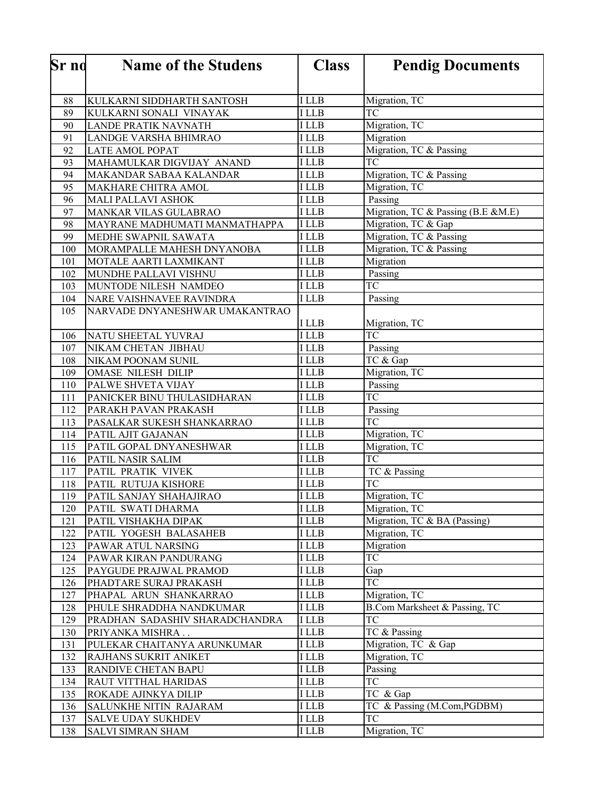| <b>Sr</b> no | <b>Name of the Studens</b>                         | <b>Class</b>   | <b>Pendig Documents</b>            |
|--------------|----------------------------------------------------|----------------|------------------------------------|
|              |                                                    |                |                                    |
| 88           | KULKARNI SIDDHARTH SANTOSH                         | <b>I</b> LLB   | Migration, TC                      |
| 89           | KULKARNI SONALI VINAYAK                            | <b>ILLB</b>    | TC                                 |
| 90           | LANDE PRATIK NAVNATH                               | <b>ILLB</b>    | Migration, TC                      |
| 91           | LANDGE VARSHA BHIMRAO                              | I LLB          | Migration                          |
| 92           | <b>LATE AMOL POPAT</b>                             | I LLB          | Migration, TC & Passing            |
| 93           | MAHAMULKAR DIGVIJAY ANAND                          | <b>ILLB</b>    | <b>TC</b>                          |
| 94           | MAKANDAR SABAA KALANDAR                            | I LLB          | Migration, TC & Passing            |
| 95           | MAKHARE CHITRA AMOL                                | I LLB          | Migration, TC                      |
| 96           | <b>MALI PALLAVI ASHOK</b>                          | <b>ILLB</b>    | Passing                            |
| 97           | MANKAR VILAS GULABRAO                              | <b>ILLB</b>    | Migration, TC & Passing (B.E &M.E) |
| 98           | MAYRANE MADHUMATI MANMATHAPPA                      | <b>ILLB</b>    | Migration, TC & Gap                |
| 99           | MEDHE SWAPNIL SAWATA                               | <b>ILLB</b>    | Migration, TC & Passing            |
| 100          | MORAMPALLE MAHESH DNYANOBA                         | <b>ILLB</b>    | Migration, TC & Passing            |
| 101          | MOTALE AARTI LAXMIKANT                             | <b>ILLB</b>    | Migration                          |
| 102          | MUNDHE PALLAVI VISHNU                              | <b>ILLB</b>    | Passing                            |
| 103          | MUNTODE NILESH NAMDEO                              | <b>ILLB</b>    | <b>TC</b>                          |
| 104          | NARE VAISHNAVEE RAVINDRA                           | <b>ILLB</b>    | Passing                            |
| 105          | NARVADE DNYANESHWAR UMAKANTRAO                     |                |                                    |
|              |                                                    | I LLB          | Migration, TC                      |
| 106          | NATU SHEETAL YUVRAJ                                | <b>ILLB</b>    | $\overline{\text{TC}}$             |
| 107          | NIKAM CHETAN JIBHAU                                | I LLB          | Passing                            |
| 108          | NIKAM POONAM SUNIL                                 | I LLB          | TC & Gap                           |
| 109          | <b>OMASE NILESH DILIP</b>                          | I LLB          | Migration, TC                      |
| 110          | PALWE SHVETA VIJAY                                 | I LLB          | Passing                            |
| 111          | PANICKER BINU THULASIDHARAN                        | I LLB<br>I LLB | TC                                 |
| 112<br>113   | PARAKH PAVAN PRAKASH<br>PASALKAR SUKESH SHANKARRAO | I LLB          | Passing<br><b>TC</b>               |
| 114          | PATIL AJIT GAJANAN                                 | <b>ILLB</b>    | Migration, TC                      |
| 115          | PATIL GOPAL DNYANESHWAR                            | <b>ILLB</b>    | Migration, TC                      |
| 116          | PATIL NASIR SALIM                                  | <b>ILLB</b>    | <b>TC</b>                          |
| 117          | PATIL PRATIK VIVEK                                 | <b>ILLB</b>    | TC & Passing                       |
| 118          | PATIL RUTUJA KISHORE                               | I LLB          | TC                                 |
| 119          | PATIL SANJAY SHAHAJIRAO                            | <b>ILLB</b>    | Migration, TC                      |
| 120          | PATIL SWATI DHARMA                                 | <b>ILLB</b>    | Migration, TC                      |
| 121          | PATIL VISHAKHA DIPAK                               | I LLB          | Migration, TC & BA (Passing)       |
| 122          | PATIL YOGESH BALASAHEB                             | I LLB          | Migration, TC                      |
| 123          | PAWAR ATUL NARSING                                 | I LLB          | Migration                          |
| 124          | PAWAR KIRAN PANDURANG                              | I LLB          | <b>TC</b>                          |
| 125          | PAYGUDE PRAJWAL PRAMOD                             | I LLB          | Gap                                |
| 126          | PHADTARE SURAJ PRAKASH                             | I LLB          | <b>TC</b>                          |
| 127          | PHAPAL ARUN SHANKARRAO                             | I LLB          | Migration, TC                      |
| 128          | PHULE SHRADDHA NANDKUMAR                           | I LLB          | B.Com Marksheet & Passing, TC      |
| 129          | PRADHAN SADASHIV SHARADCHANDRA                     | I LLB          | <b>TC</b>                          |
| 130          | PRIYANKA MISHRA                                    | I LLB          | TC & Passing                       |
| 131          | PULEKAR CHAITANYA ARUNKUMAR                        | I LLB          | Migration, TC & Gap                |
| 132          | RAJHANS SUKRIT ANIKET                              | <b>ILLB</b>    | Migration, TC                      |
| 133          | RANDIVE CHETAN BAPU                                | I LLB          | Passing                            |
| 134          | RAUT VITTHAL HARIDAS                               | I LLB          | TC                                 |
| 135          | ROKADE AJINKYA DILIP                               | I LLB          | $\overline{TC}$ & Gap              |
| 136          | SALUNKHE NITIN RAJARAM                             | I LLB          | TC & Passing (M.Com, PGDBM)        |
| 137          | <b>SALVE UDAY SUKHDEV</b>                          | I LLB          | <b>TC</b>                          |
| 138          | SALVI SIMRAN SHAM                                  | I LLB          | Migration, TC                      |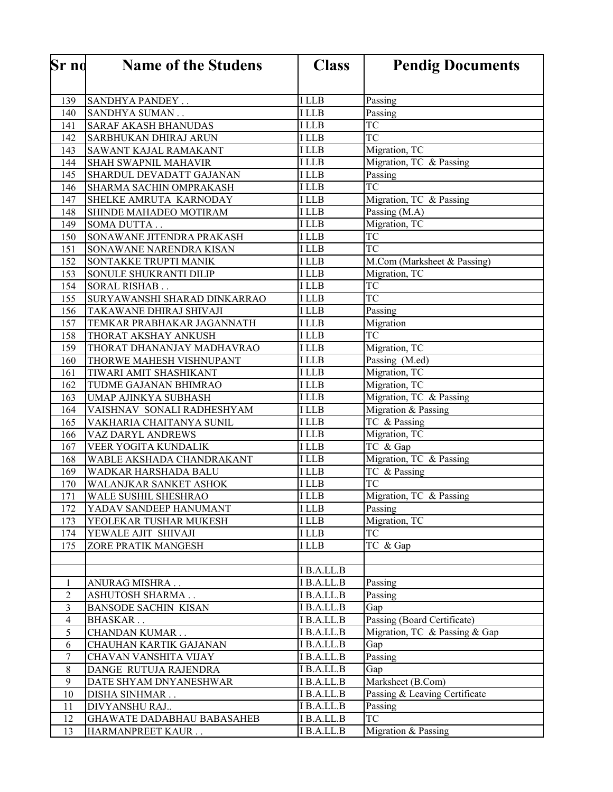| <b>Sr</b> no               | <b>Name of the Studens</b>                         | <b>Class</b>             | <b>Pendig Documents</b>         |
|----------------------------|----------------------------------------------------|--------------------------|---------------------------------|
|                            |                                                    |                          |                                 |
| 139                        | SANDHYA PANDEY                                     | <b>ILLB</b>              | Passing                         |
| 140                        | SANDHYA SUMAN                                      | <b>ILLB</b>              | Passing                         |
| 141                        | <b>SARAF AKASH BHANUDAS</b>                        | <b>ILLB</b>              | <b>TC</b>                       |
| 142                        | SARBHUKAN DHIRAJ ARUN                              | I LLB                    | <b>TC</b>                       |
| 143                        | SAWANT KAJAL RAMAKANT                              | <b>ILLB</b>              | Migration, TC                   |
| 144                        | SHAH SWAPNIL MAHAVIR                               | I LLB                    | Migration, TC & Passing         |
| 145                        | SHARDUL DEVADATT GAJANAN                           | I LLB                    | Passing                         |
| 146                        | SHARMA SACHIN OMPRAKASH                            | I LLB                    | TC                              |
| 147                        | SHELKE AMRUTA KARNODAY                             | I LLB                    | Migration, TC & Passing         |
| 148                        | SHINDE MAHADEO MOTIRAM                             | I LLB                    | Passing (M.A)                   |
| 149                        | <b>SOMA DUTTA.</b>                                 | I LLB                    | Migration, TC                   |
| 150                        | SONAWANE JITENDRA PRAKASH                          | I LLB                    | TC                              |
| 151                        | SONAWANE NARENDRA KISAN                            | I LLB                    | <b>TC</b>                       |
| 152                        | SONTAKKE TRUPTI MANIK                              | I LLB                    | M.Com (Marksheet & Passing)     |
| 153                        | SONULE SHUKRANTI DILIP                             | I LLB                    | Migration, TC                   |
| 154                        | <b>SORAL RISHAB</b>                                | I LLB                    | TC                              |
| 155                        | SURYAWANSHI SHARAD DINKARRAO                       | I LLB                    | $\overline{TC}$                 |
| 156                        | TAKAWANE DHIRAJ SHIVAJI                            | <b>ILLB</b>              | Passing                         |
| 157                        | TEMKAR PRABHAKAR JAGANNATH                         | I LLB                    | Migration                       |
| 158                        | THORAT AKSHAY ANKUSH                               | <b>ILLB</b>              | <b>TC</b>                       |
| 159                        | THORAT DHANANJAY MADHAVRAO                         | I LLB                    | Migration, TC                   |
| 160                        | THORWE MAHESH VISHNUPANT                           | <b>ILLB</b>              | Passing (M.ed)                  |
| 161                        | TIWARI AMIT SHASHIKANT                             | I LLB                    | Migration, TC                   |
| 162                        | TUDME GAJANAN BHIMRAO                              | I LLB                    | Migration, TC                   |
| 163                        | UMAP AJINKYA SUBHASH                               | I LLB                    | Migration, TC & Passing         |
| 164                        | VAISHNAV SONALI RADHESHYAM                         | I LLB                    | Migration & Passing             |
| 165                        | VAKHARIA CHAITANYA SUNIL                           | I LLB                    | TC & Passing                    |
| 166                        | VAZ DARYL ANDREWS                                  | I LLB                    | Migration, TC                   |
| 167                        | VEER YOGITA KUNDALIK                               | I LLB<br>I LLB           | TC & Gap                        |
| 168                        | WABLE AKSHADA CHANDRAKANT                          | I LLB                    | Migration, TC & Passing         |
| 169                        | WADKAR HARSHADA BALU                               |                          | TC & Passing<br>$\overline{TC}$ |
| 170                        | WALANJKAR SANKET ASHOK                             | <b>ILLB</b>              |                                 |
| 171                        | WALE SUSHIL SHESHRAO                               | I LLB<br><b>ILLB</b>     | Migration, TC & Passing         |
| 172                        | YADAV SANDEEP HANUMANT                             | <b>ILLB</b>              | Passing                         |
| 173                        | YEOLEKAR TUSHAR MUKESH                             |                          | Migration, TC<br><b>TC</b>      |
| 174                        | YEWALE AJIT SHIVAJI                                | I LLB<br><b>ILLB</b>     | TC & Gap                        |
| 175                        | ZORE PRATIK MANGESH                                |                          |                                 |
|                            |                                                    |                          |                                 |
|                            |                                                    | I B.A.LL.B               |                                 |
| $\mathbf{1}$<br>$\sqrt{2}$ | ANURAG MISHRA                                      | I B.A.LL.B<br>I B.A.LL.B | Passing<br>Passing              |
| $\overline{3}$             | ASHUTOSH SHARMA<br><b>BANSODE SACHIN KISAN</b>     | I B.A.LL.B               | Gap                             |
| $\overline{4}$             | <b>BHASKAR</b>                                     | I B.A.LL.B               | Passing (Board Certificate)     |
| 5                          |                                                    | I B.A.LL.B               | Migration, TC & Passing & Gap   |
| 6                          | <b>CHANDAN KUMAR</b>                               | I B.A.LL.B               | Gap                             |
| 7                          | CHAUHAN KARTIK GAJANAN<br>CHAVAN VANSHITA VIJAY    | I B.A.LL.B               | Passing                         |
| $8\,$                      | DANGE RUTUJA RAJENDRA                              | I B.A.LL.B               | Gap                             |
| 9                          |                                                    | I B.A.LL.B               | Marksheet (B.Com)               |
| 10                         | DATE SHYAM DNYANESHWAR                             | I B.A.LL.B               | Passing & Leaving Certificate   |
| 11                         | DISHA SINHMAR                                      | I B.A.LL.B               | Passing                         |
| 12                         | DIVYANSHU RAJ<br><b>GHAWATE DADABHAU BABASAHEB</b> | I B.A.LL.B               | <b>TC</b>                       |
| 13                         | HARMANPREET KAUR                                   | I B.A.LL.B               | Migration & Passing             |
|                            |                                                    |                          |                                 |